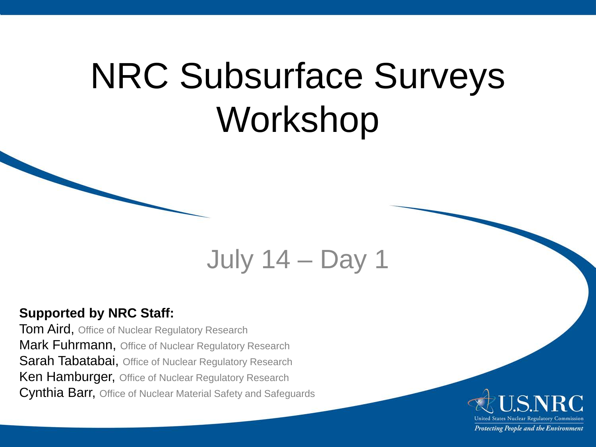## NRC Subsurface Surveys Workshop

### July 14 – Day 1

#### **Supported by NRC Staff:**

**Tom Aird, Office of Nuclear Regulatory Research** Mark Fuhrmann, Office of Nuclear Regulatory Research Sarah Tabatabai, Office of Nuclear Regulatory Research **Ken Hamburger, Office of Nuclear Regulatory Research** Cynthia Barr, Office of Nuclear Material Safety and Safeguards

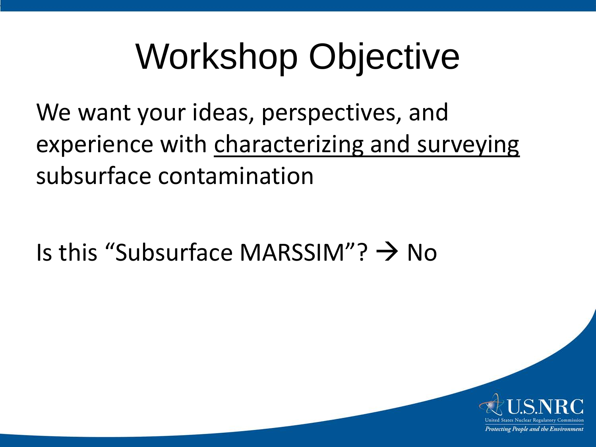# Workshop Objective

We want your ideas, perspectives, and experience with characterizing and surveying subsurface contamination

Is this "Subsurface MARSSIM"?  $\rightarrow$  No

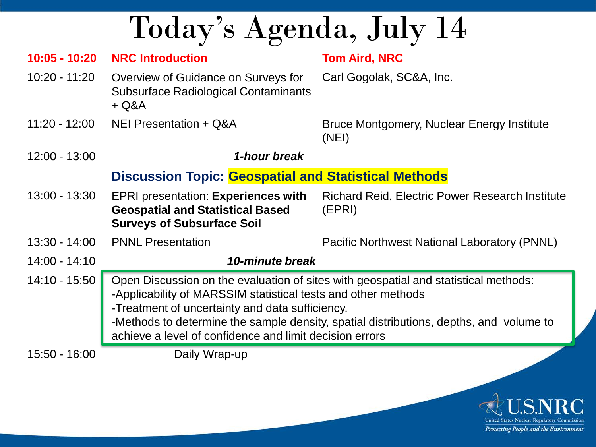Today's Agenda, July 14

| $10:05 - 10:20$ | <b>NRC Introduction</b>                                                                                                                                                                                                                                                                                                                                      | <b>Tom Aird, NRC</b>                                             |
|-----------------|--------------------------------------------------------------------------------------------------------------------------------------------------------------------------------------------------------------------------------------------------------------------------------------------------------------------------------------------------------------|------------------------------------------------------------------|
| 10:20 - 11:20   | Overview of Guidance on Surveys for<br><b>Subsurface Radiological Contaminants</b><br>$+ Q&A$                                                                                                                                                                                                                                                                | Carl Gogolak, SC&A, Inc.                                         |
| $11:20 - 12:00$ | NEI Presentation + Q&A                                                                                                                                                                                                                                                                                                                                       | Bruce Montgomery, Nuclear Energy Institute<br>(NEI)              |
| $12:00 - 13:00$ | 1-hour break                                                                                                                                                                                                                                                                                                                                                 |                                                                  |
|                 | <b>Discussion Topic: Geospatial and Statistical Methods</b>                                                                                                                                                                                                                                                                                                  |                                                                  |
| $13:00 - 13:30$ | <b>EPRI presentation: Experiences with</b><br><b>Geospatial and Statistical Based</b><br><b>Surveys of Subsurface Soil</b>                                                                                                                                                                                                                                   | <b>Richard Reid, Electric Power Research Institute</b><br>(EPRI) |
| $13:30 - 14:00$ | <b>PNNL Presentation</b>                                                                                                                                                                                                                                                                                                                                     | Pacific Northwest National Laboratory (PNNL)                     |
| $14:00 - 14:10$ | 10-minute break                                                                                                                                                                                                                                                                                                                                              |                                                                  |
| 14:10 - 15:50   | Open Discussion on the evaluation of sites with geospatial and statistical methods:<br>-Applicability of MARSSIM statistical tests and other methods<br>-Treatment of uncertainty and data sufficiency.<br>-Methods to determine the sample density, spatial distributions, depths, and volume to<br>achieve a level of confidence and limit decision errors |                                                                  |
| 15:50 - 16:00   | Daily Wrap-up                                                                                                                                                                                                                                                                                                                                                |                                                                  |

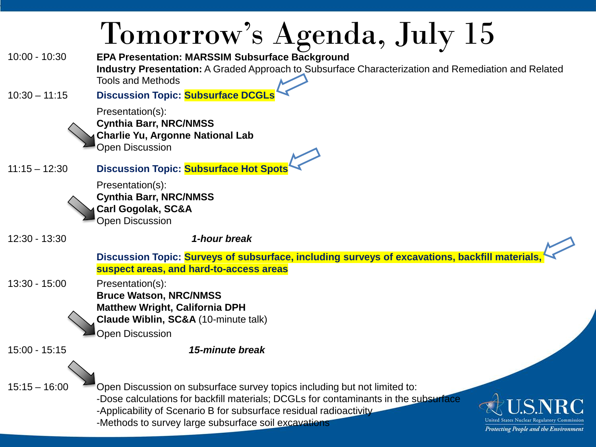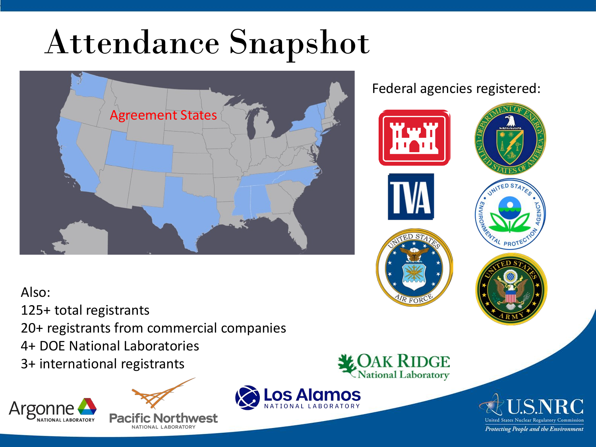# Attendance Snapshot



### Federal agencies registered:



### Also:

125+ total registrants

20+ registrants from commercial companies

4+ DOE National Laboratories

3+ international registrants







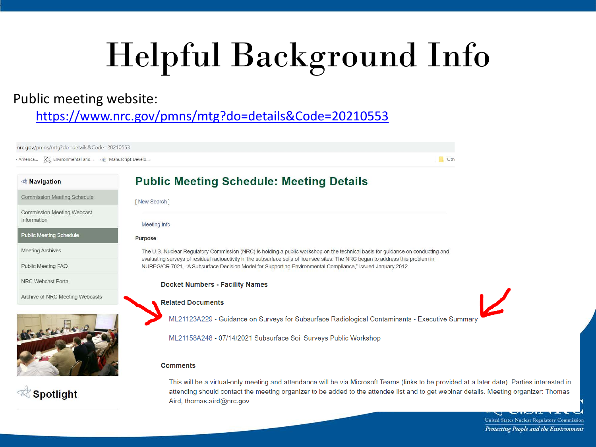# Helpful Background Info

### Public meeting website:

<https://www.nrc.gov/pmns/mtg?do=details&Code=20210553>

nrc.gov/pmns/mtg?do=details&Code=20210553 · America... X, Environmental and... · Manuscript Develo... Oth-**Public Meeting Schedule: Meeting Details Ravigation Commission Meeting Schedule** [New Search] Commission Meeting Webcast Information Meeting info **Public Meeting Schedule** Purpose **Meeting Archives** The U.S. Nuclear Regulatory Commission (NRC) is holding a public workshop on the technical basis for guidance on conducting and evaluating surveys of residual radioactivity in the subsurface soils of licensee sites. The NRC began to address this problem in Public Meeting FAQ NUREG/CR 7021, "A Subsurface Decision Model for Supporting Environmental Compliance," issued January 2012. NRC Webcast Portal **Docket Numbers - Facility Names** Archive of NRC Meeting Webcasts **Related Documents** ML21123A229 - Guidance on Surveys for Subsurface Radiological Contaminants - Executive Summary ML21158A248 - 07/14/2021 Subsurface Soil Surveys Public Workshop **Comments** This will be a virtual-only meeting and attendance will be via Microsoft Teams (links to be provided at a later date). Parties interested in *Spotlight* attending should contact the meeting organizer to be added to the attendee list and to get webinar details. Meeting organizer: Thomas Aird, thomas.aird@nrc.gov

United States Nuclear Regulatory Commission Protecting People and the Environment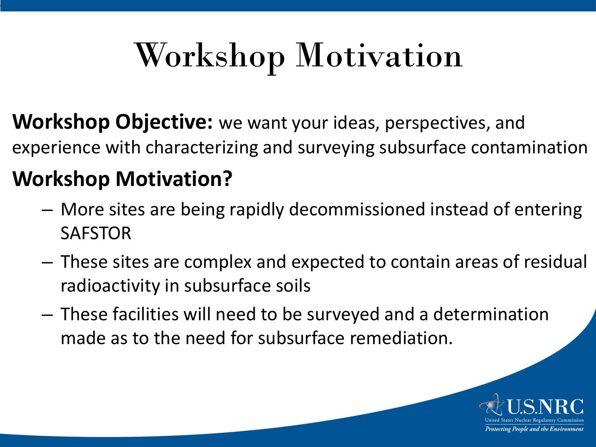## Workshop Motivation

**Workshop Objective:** we want your ideas, perspectives, and experience with characterizing and surveying subsurface contamination

### **Workshop Motivation?**

- More sites are being rapidly decommissioned instead of entering SAFSTOR
- These sites are complex and expected to contain areas of residual radioactivity in subsurface soils
- These facilities will need to be surveyed and a determination made as to the need for subsurface remediation.

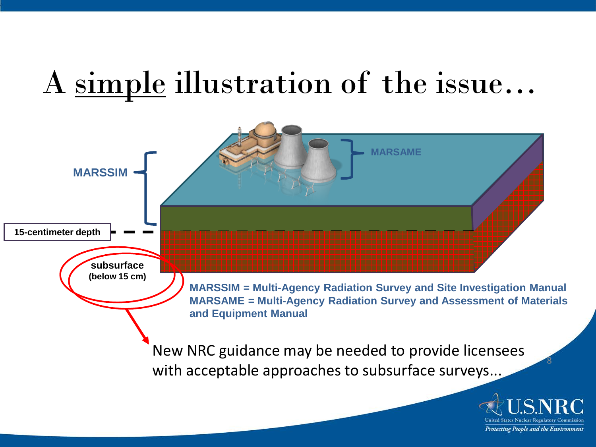## A simple illustration of the issue…

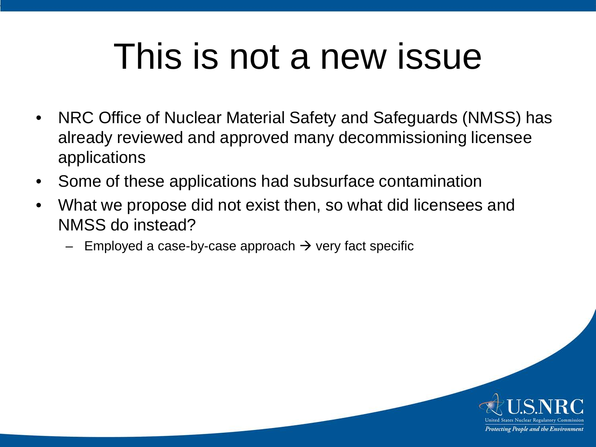## This is not a new issue

- NRC Office of Nuclear Material Safety and Safeguards (NMSS) has already reviewed and approved many decommissioning licensee applications
- Some of these applications had subsurface contamination
- What we propose did not exist then, so what did licensees and NMSS do instead?
	- Employed a case-by-case approach  $\rightarrow$  very fact specific

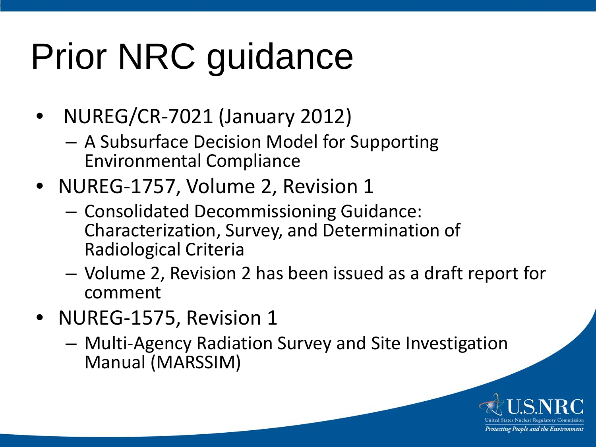# Prior NRC guidance

- NUREG/CR-7021 (January 2012)
	- A Subsurface Decision Model for Supporting Environmental Compliance
- NUREG-1757, Volume 2, Revision 1
	- Consolidated Decommissioning Guidance: Characterization, Survey, and Determination of Radiological Criteria
	- Volume 2, Revision 2 has been issued as a draft report for comment
- NUREG-1575, Revision 1
	- Multi-Agency Radiation Survey and Site Investigation Manual (MARSSIM)

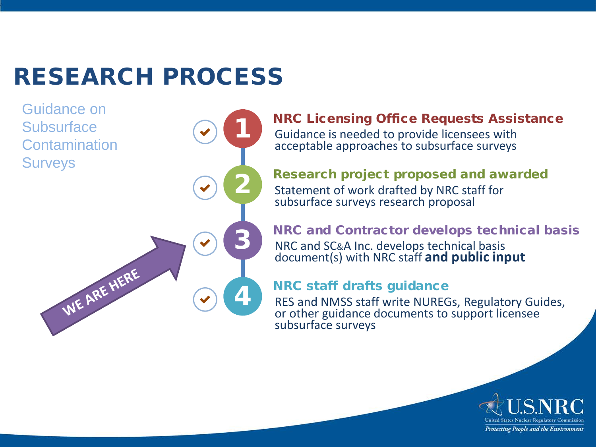### RESEARCH PROCESS

1

Guidance on **Subsurface Contamination Surveys** 

2 3 WE ARE HERE 4

#### NRC Licensing Office Requests Assistance Guidance is needed to provide licensees with acceptable approaches to subsurface surveys

#### Research project proposed and awarded Statement of work drafted by NRC staff for subsurface surveys research proposal

NRC and Contractor develops technical basis NRC and SC&A Inc. develops technical basis document(s) with NRC staff **and public input** 

### NRC staff drafts guidance

RES and NMSS staff write NUREGs, Regulatory Guides, or other guidance documents to support licensee subsurface surveys